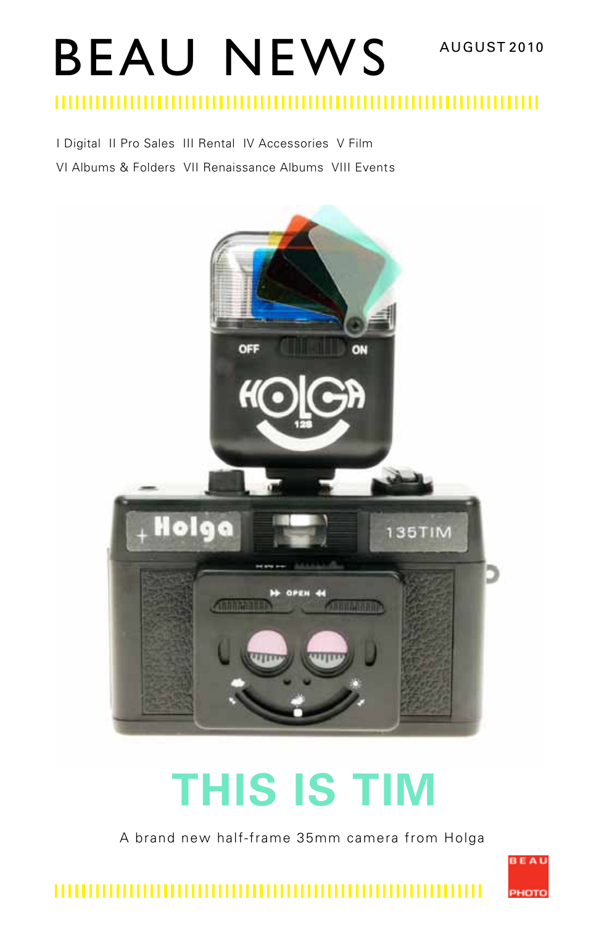# BEAU NEWS AUGUST 2010

#### ,,,,,,,,,,,,,,,,,,,,,,,,,,, ,,,,,,,,,,,,,,,,,,,,,,,,

I Digital II Pro Sales III Rental IV Accessories V Film VI Albums & Folders VII Renaissance Albums VIII Events



# **THIS IS TIM**

A brand new half-frame 35mm camera from Holga

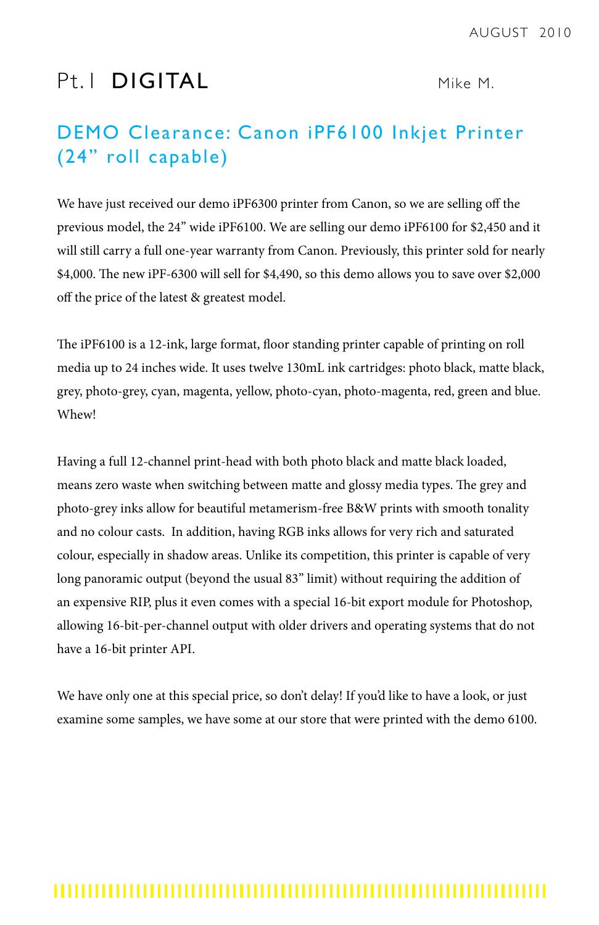# Pt. I **DIGITAL** Mike M.

# DEMO Clearance: Canon iPF6100 Inkjet Printer (24" roll capable)

We have just received our demo iPF6300 printer from Canon, so we are selling off the previous model, the 24" wide iPF6100. We are selling our demo iPF6100 for \$2,450 and it will still carry a full one-year warranty from Canon. Previously, this printer sold for nearly \$4,000. The new iPF-6300 will sell for \$4,490, so this demo allows you to save over \$2,000 off the price of the latest & greatest model.

The iPF6100 is a 12-ink, large format, floor standing printer capable of printing on roll media up to 24 inches wide. It uses twelve 130mL ink cartridges: photo black, matte black, grey, photo-grey, cyan, magenta, yellow, photo-cyan, photo-magenta, red, green and blue. Whew!

Having a full 12-channel print-head with both photo black and matte black loaded, means zero waste when switching between matte and glossy media types. The grey and photo-grey inks allow for beautiful metamerism-free B&W prints with smooth tonality and no colour casts. In addition, having RGB inks allows for very rich and saturated colour, especially in shadow areas. Unlike its competition, this printer is capable of very long panoramic output (beyond the usual 83" limit) without requiring the addition of an expensive RIP, plus it even comes with a special 16-bit export module for Photoshop, allowing 16-bit-per-channel output with older drivers and operating systems that do not have a 16-bit printer API.

We have only one at this special price, so don't delay! If you'd like to have a look, or just examine some samples, we have some at our store that were printed with the demo 6100.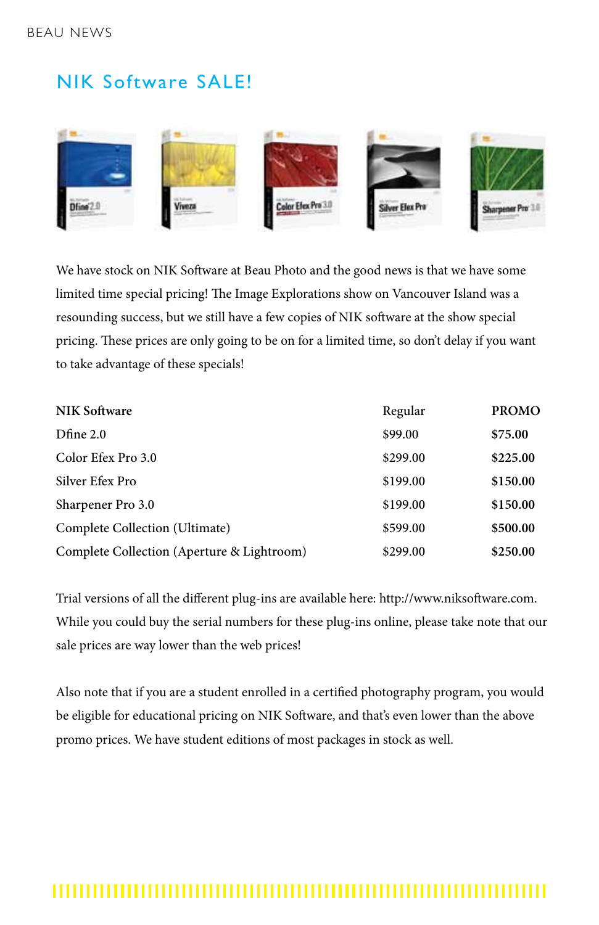# NIK Software SALE!



We have stock on NIK Software at Beau Photo and the good news is that we have some limited time special pricing! The Image Explorations show on Vancouver Island was a resounding success, but we still have a few copies of NIK software at the show special pricing. These prices are only going to be on for a limited time, so don't delay if you want to take advantage of these specials!

| <b>NIK Software</b>                        | Regular  | <b>PROMO</b> |
|--------------------------------------------|----------|--------------|
| Dfine 2.0                                  | \$99.00  | \$75.00      |
| Color Efex Pro 3.0                         | \$299.00 | \$225.00     |
| Silver Efex Pro                            | \$199.00 | \$150.00     |
| Sharpener Pro 3.0                          | \$199.00 | \$150.00     |
| Complete Collection (Ultimate)             | \$599.00 | \$500.00     |
| Complete Collection (Aperture & Lightroom) | \$299.00 | \$250.00     |

Trial versions of all the different plug-ins are available here: http://www.niksoftware.com. While you could buy the serial numbers for these plug-ins online, please take note that our sale prices are way lower than the web prices!

Also note that if you are a student enrolled in a certified photography program, you would be eligible for educational pricing on NIK Software, and that's even lower than the above promo prices. We have student editions of most packages in stock as well.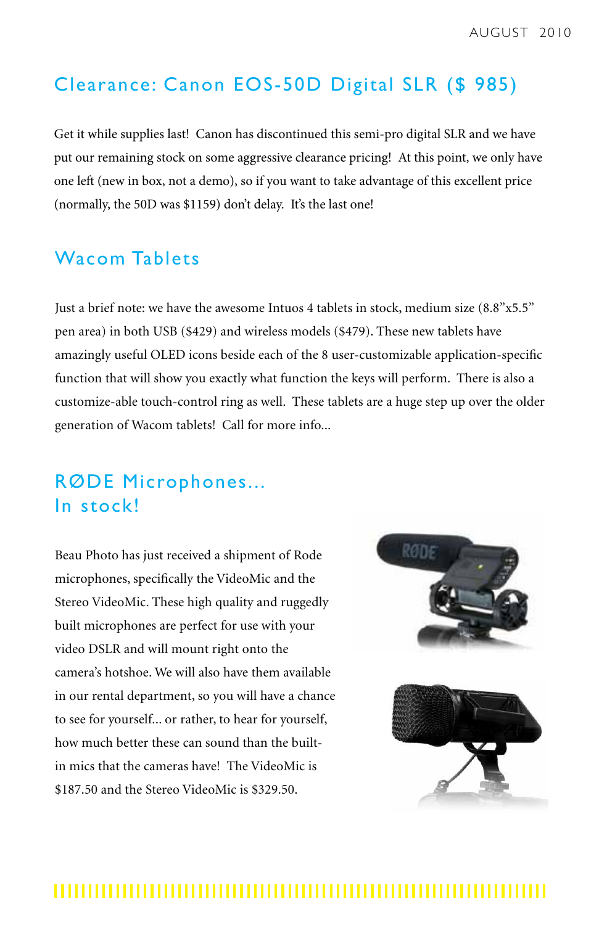## Clearance: Canon EOS-50D Digital SLR (\$ 985)

Get it while supplies last! Canon has discontinued this semi-pro digital SLR and we have put our remaining stock on some aggressive clearance pricing! At this point, we only have one left (new in box, not a demo), so if you want to take advantage of this excellent price (normally, the 50D was \$1159) don't delay. It's the last one!

## Wacom Tablets

Just a brief note: we have the awesome Intuos 4 tablets in stock, medium size (8.8"x5.5" pen area) in both USB (\$429) and wireless models (\$479). These new tablets have amazingly useful OLED icons beside each of the 8 user-customizable application-specific function that will show you exactly what function the keys will perform. There is also a customize-able touch-control ring as well. These tablets are a huge step up over the older generation of Wacom tablets! Call for more info...

# RØDE Microphones... In stock!

Beau Photo has just received a shipment of Rode microphones, specifically the VideoMic and the Stereo VideoMic. These high quality and ruggedly built microphones are perfect for use with your video DSLR and will mount right onto the camera's hotshoe. We will also have them available in our rental department, so you will have a chance to see for yourself... or rather, to hear for yourself, how much better these can sound than the builtin mics that the cameras have! The VideoMic is \$187.50 and the Stereo VideoMic is \$329.50.

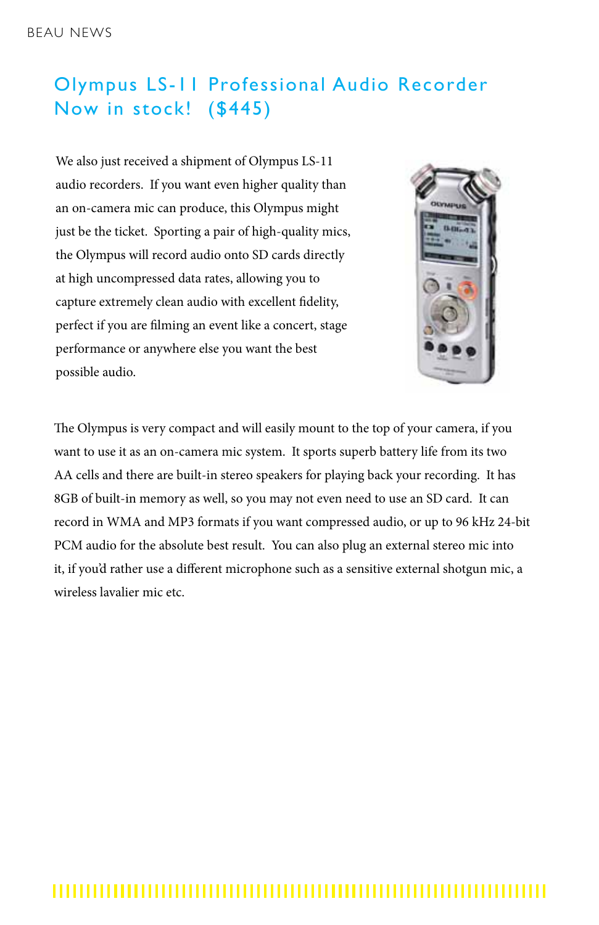# Olympus LS-11 Professional Audio Recorder Now in stock! (\$445)

We also just received a shipment of Olympus LS-11 audio recorders. If you want even higher quality than an on-camera mic can produce, this Olympus might just be the ticket. Sporting a pair of high-quality mics, the Olympus will record audio onto SD cards directly at high uncompressed data rates, allowing you to capture extremely clean audio with excellent fidelity, perfect if you are filming an event like a concert, stage performance or anywhere else you want the best possible audio.



The Olympus is very compact and will easily mount to the top of your camera, if you want to use it as an on-camera mic system. It sports superb battery life from its two AA cells and there are built-in stereo speakers for playing back your recording. It has 8GB of built-in memory as well, so you may not even need to use an SD card. It can record in WMA and MP3 formats if you want compressed audio, or up to 96 kHz 24-bit PCM audio for the absolute best result. You can also plug an external stereo mic into it, if you'd rather use a different microphone such as a sensitive external shotgun mic, a wireless lavalier mic etc.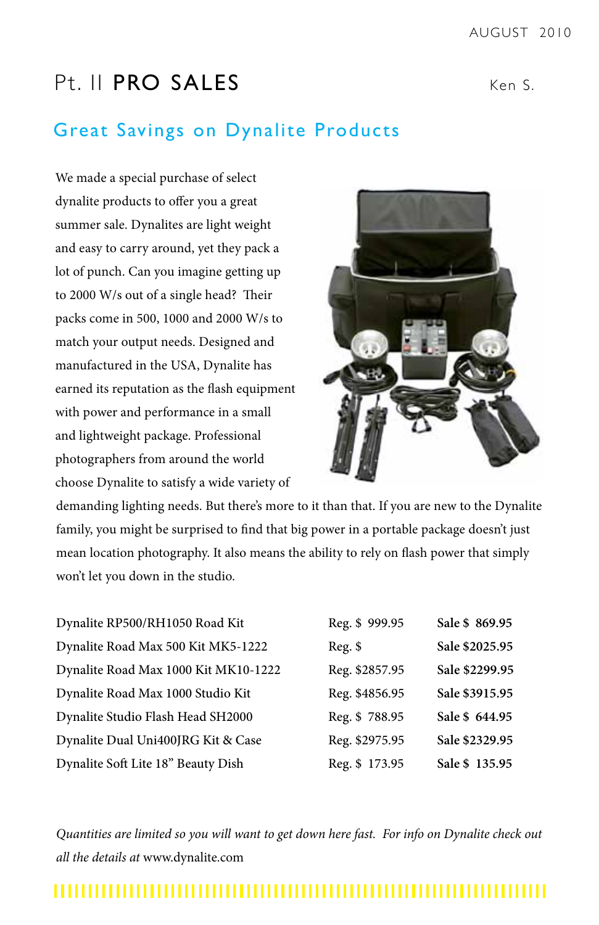# Pt. II PRO SALES Ken S.

## Great Savings on Dynalite Products

We made a special purchase of select dynalite products to offer you a great summer sale. Dynalites are light weight and easy to carry around, yet they pack a lot of punch. Can you imagine getting up to 2000 W/s out of a single head? Their packs come in 500, 1000 and 2000 W/s to match your output needs. Designed and manufactured in the USA, Dynalite has earned its reputation as the flash equipment with power and performance in a small and lightweight package. Professional photographers from around the world choose Dynalite to satisfy a wide variety of



demanding lighting needs. But there's more to it than that. If you are new to the Dynalite family, you might be surprised to find that big power in a portable package doesn't just mean location photography. It also means the ability to rely on flash power that simply won't let you down in the studio.

| Dynalite RP500/RH1050 Road Kit       | Reg. \$999.95  | Sale \$ 869.95 |
|--------------------------------------|----------------|----------------|
| Dynalite Road Max 500 Kit MK5-1222   | $Reg.$ \$      | Sale \$2025.95 |
| Dynalite Road Max 1000 Kit MK10-1222 | Reg. \$2857.95 | Sale \$2299.95 |
| Dynalite Road Max 1000 Studio Kit    | Reg. \$4856.95 | Sale \$3915.95 |
| Dynalite Studio Flash Head SH2000    | Reg. \$788.95  | Sale \$ 644.95 |
| Dynalite Dual Uni400JRG Kit & Case   | Reg. \$2975.95 | Sale \$2329.95 |
| Dynalite Soft Lite 18" Beauty Dish   | Reg. \$173.95  | Sale \$135.95  |

*Quantities are limited so you will want to get down here fast. For info on Dynalite check out all the details at* www.dynalite.com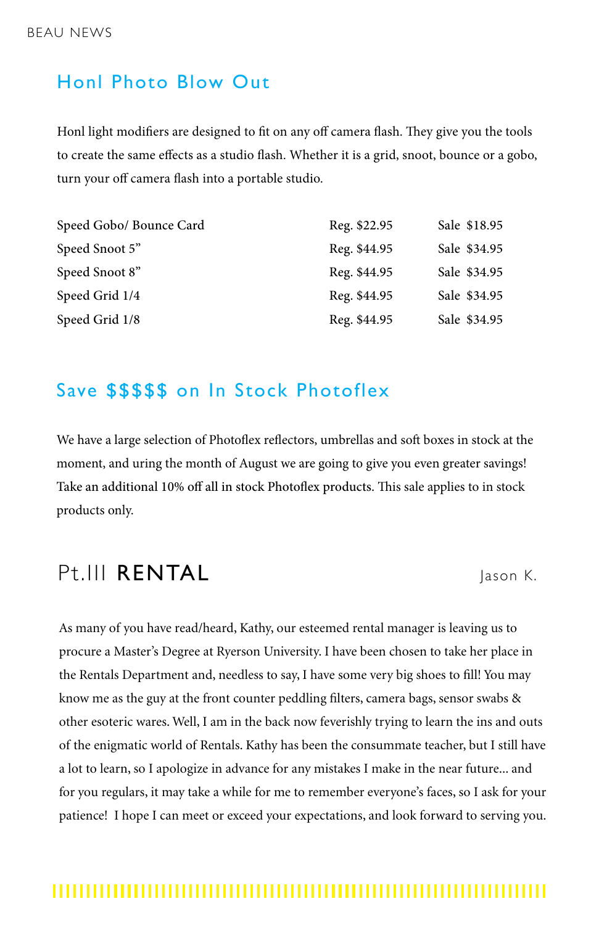## Honl Photo Blow Out

Honl light modifiers are designed to fit on any off camera flash. They give you the tools to create the same effects as a studio flash. Whether it is a grid, snoot, bounce or a gobo, turn your off camera flash into a portable studio.

| Speed Gobo/ Bounce Card | Reg. \$22.95 | Sale \$18.95 |
|-------------------------|--------------|--------------|
| Speed Snoot 5"          | Reg. \$44.95 | Sale \$34.95 |
| Speed Snoot 8"          | Reg. \$44.95 | Sale \$34.95 |
| Speed Grid 1/4          | Reg. \$44.95 | Sale \$34.95 |
| Speed Grid 1/8          | Reg. \$44.95 | Sale \$34.95 |

## Save \$\$\$\$\$ on In Stock Photoflex

We have a large selection of Photoflex reflectors, umbrellas and soft boxes in stock at the moment, and uring the month of August we are going to give you even greater savings! Take an additional 10% off all in stock Photoflex products. This sale applies to in stock products only.

# Pt.III RENTAL Jason K.

As many of you have read/heard, Kathy, our esteemed rental manager is leaving us to procure a Master's Degree at Ryerson University. I have been chosen to take her place in the Rentals Department and, needless to say, I have some very big shoes to fill! You may know me as the guy at the front counter peddling filters, camera bags, sensor swabs & other esoteric wares. Well, I am in the back now feverishly trying to learn the ins and outs of the enigmatic world of Rentals. Kathy has been the consummate teacher, but I still have a lot to learn, so I apologize in advance for any mistakes I make in the near future... and for you regulars, it may take a while for me to remember everyone's faces, so I ask for your patience! I hope I can meet or exceed your expectations, and look forward to serving you.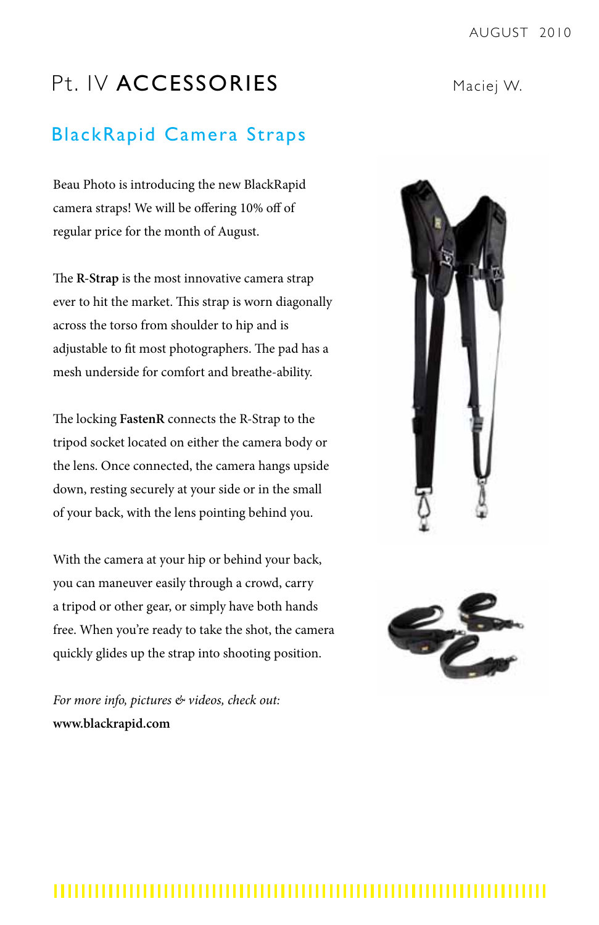# Pt. IV ACCESSORIES Maciej W.

## BlackRapid Camera Straps

Beau Photo is introducing the new BlackRapid camera straps! We will be offering 10% off of regular price for the month of August.

The **R-Strap** is the most innovative camera strap ever to hit the market. This strap is worn diagonally across the torso from shoulder to hip and is adjustable to fit most photographers. The pad has a mesh underside for comfort and breathe-ability.

The locking **FastenR** connects the R-Strap to the tripod socket located on either the camera body or the lens. Once connected, the camera hangs upside down, resting securely at your side or in the small of your back, with the lens pointing behind you.

With the camera at your hip or behind your back, you can maneuver easily through a crowd, carry a tripod or other gear, or simply have both hands free. When you're ready to take the shot, the camera quickly glides up the strap into shooting position.

*For more info, pictures & videos, check out:*  **www.blackrapid.com**



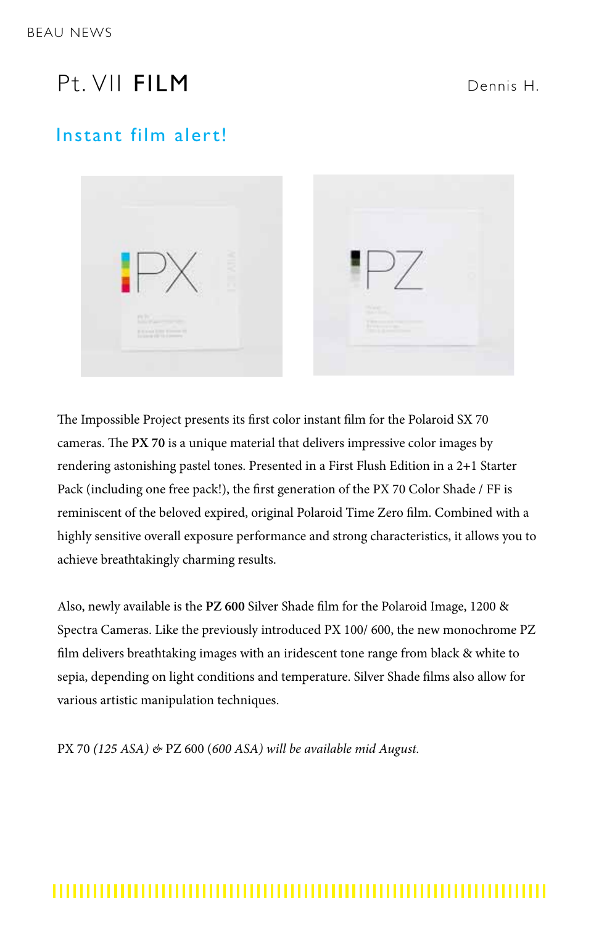# P<sub>t</sub> VII FII M

#### Dennis H.

## Instant film alert!



The Impossible Project presents its first color instant film for the Polaroid SX 70 cameras. The **PX 70** is a unique material that delivers impressive color images by rendering astonishing pastel tones. Presented in a First Flush Edition in a 2+1 Starter Pack (including one free pack!), the first generation of the PX 70 Color Shade / FF is reminiscent of the beloved expired, original Polaroid Time Zero film. Combined with a highly sensitive overall exposure performance and strong characteristics, it allows you to achieve breathtakingly charming results.

Also, newly available is the **PZ 600** Silver Shade film for the Polaroid Image, 1200 & Spectra Cameras. Like the previously introduced PX 100/ 600, the new monochrome PZ film delivers breathtaking images with an iridescent tone range from black & white to sepia, depending on light conditions and temperature. Silver Shade films also allow for various artistic manipulation techniques.

PX 70 *(125 ASA) &* PZ 600 (*600 ASA) will be available mid August.*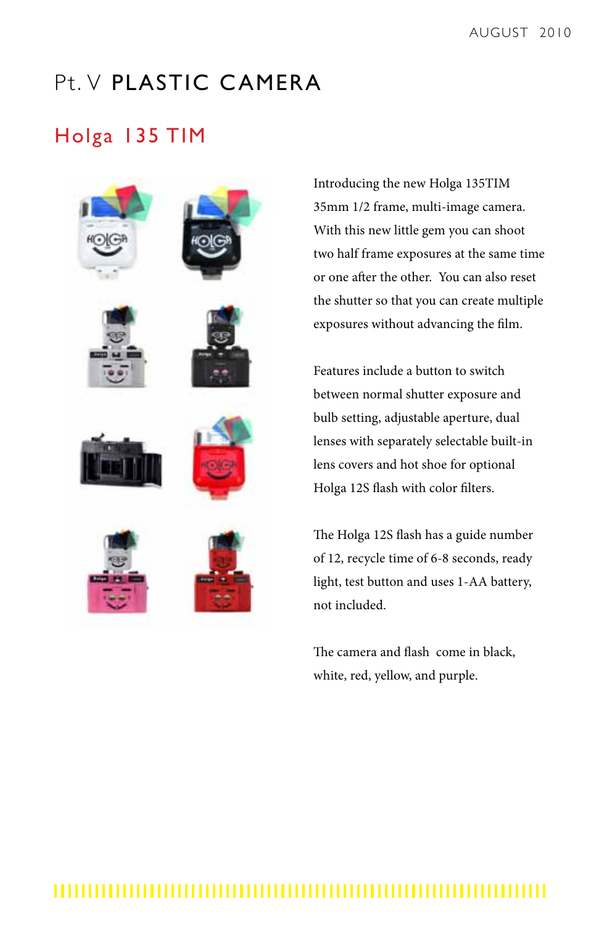# Pt. V PLASTIC CAMERA

# Holga 135 TIM



Introducing the new Holga 135TIM 35mm 1/2 frame, multi-image camera. With this new little gem you can shoot two half frame exposures at the same time or one after the other. You can also reset the shutter so that you can create multiple exposures without advancing the film.

Features include a button to switch between normal shutter exposure and bulb setting, adjustable aperture, dual lenses with separately selectable built-in lens covers and hot shoe for optional Holga 12S flash with color filters.

The Holga 12S flash has a guide number of 12, recycle time of 6-8 seconds, ready light, test button and uses 1-AA battery, not included.

The camera and flash come in black, white, red, yellow, and purple.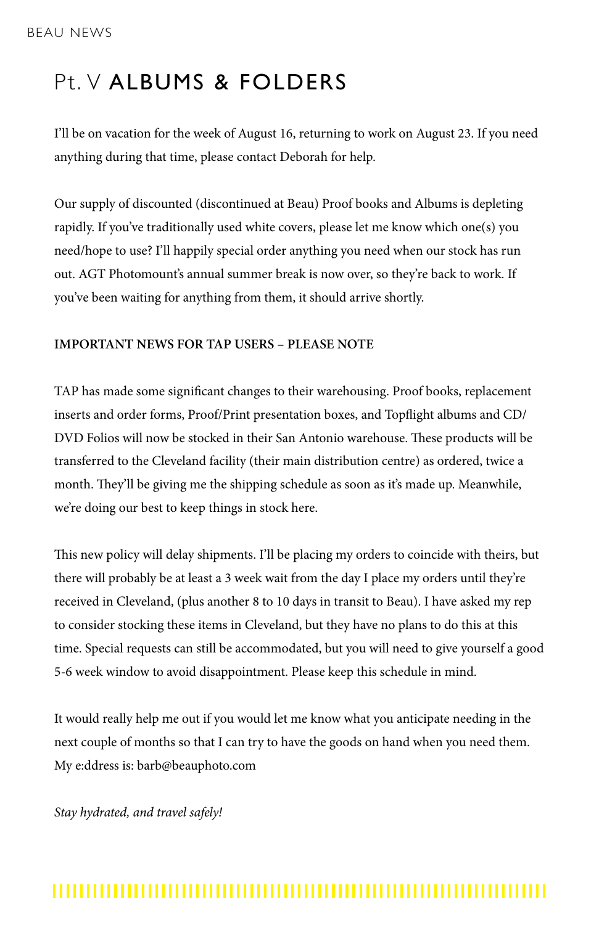# Pt. V ALBUMS & FOLDERS

I'll be on vacation for the week of August 16, returning to work on August 23. If you need anything during that time, please contact Deborah for help.

Our supply of discounted (discontinued at Beau) Proof books and Albums is depleting rapidly. If you've traditionally used white covers, please let me know which one(s) you need/hope to use? I'll happily special order anything you need when our stock has run out. AGT Photomount's annual summer break is now over, so they're back to work. If you've been waiting for anything from them, it should arrive shortly.

#### **IMPORTANT NEWS FOR TAP USERS – PLEASE NOTE**

TAP has made some significant changes to their warehousing. Proof books, replacement inserts and order forms, Proof/Print presentation boxes, and Topflight albums and CD/ DVD Folios will now be stocked in their San Antonio warehouse. These products will be transferred to the Cleveland facility (their main distribution centre) as ordered, twice a month. They'll be giving me the shipping schedule as soon as it's made up. Meanwhile, we're doing our best to keep things in stock here.

This new policy will delay shipments. I'll be placing my orders to coincide with theirs, but there will probably be at least a 3 week wait from the day I place my orders until they're received in Cleveland, (plus another 8 to 10 days in transit to Beau). I have asked my rep to consider stocking these items in Cleveland, but they have no plans to do this at this time. Special requests can still be accommodated, but you will need to give yourself a good 5-6 week window to avoid disappointment. Please keep this schedule in mind.

It would really help me out if you would let me know what you anticipate needing in the next couple of months so that I can try to have the goods on hand when you need them. My e:ddress is: barb@beauphoto.com

*Stay hydrated, and travel safely!*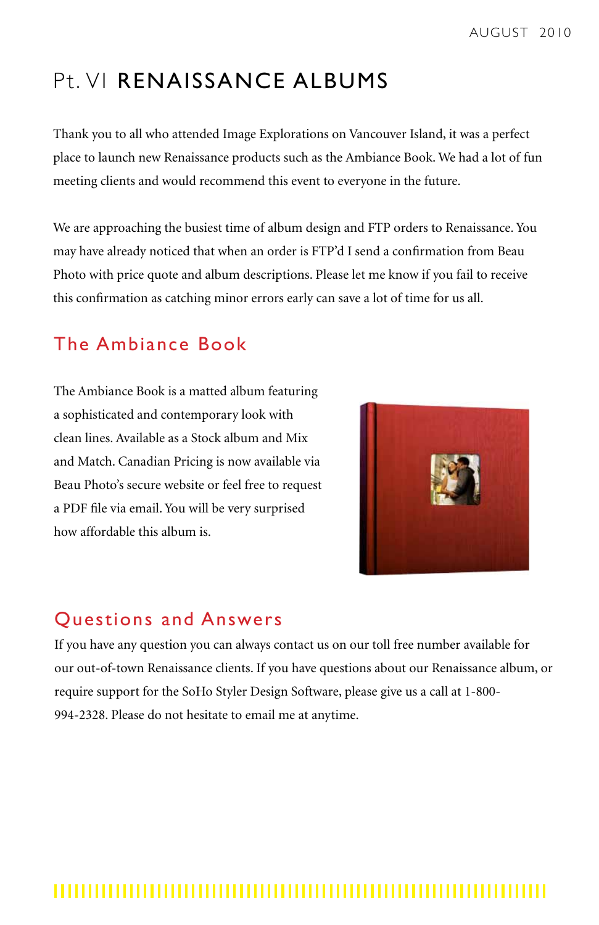# Pt. VI RENAISSANCE ALBUMS

Thank you to all who attended Image Explorations on Vancouver Island, it was a perfect place to launch new Renaissance products such as the Ambiance Book. We had a lot of fun meeting clients and would recommend this event to everyone in the future.

We are approaching the busiest time of album design and FTP orders to Renaissance. You may have already noticed that when an order is FTP'd I send a confirmation from Beau Photo with price quote and album descriptions. Please let me know if you fail to receive this confirmation as catching minor errors early can save a lot of time for us all.

# The Ambiance Book

The Ambiance Book is a matted album featuring a sophisticated and contemporary look with clean lines. Available as a Stock album and Mix and Match. Canadian Pricing is now available via Beau Photo's secure website or feel free to request a PDF file via email. You will be very surprised how affordable this album is.



## Questions and Answers

If you have any question you can always contact us on our toll free number available for our out-of-town Renaissance clients. If you have questions about our Renaissance album, or require support for the SoHo Styler Design Software, please give us a call at 1-800- 994-2328. Please do not hesitate to email me at anytime.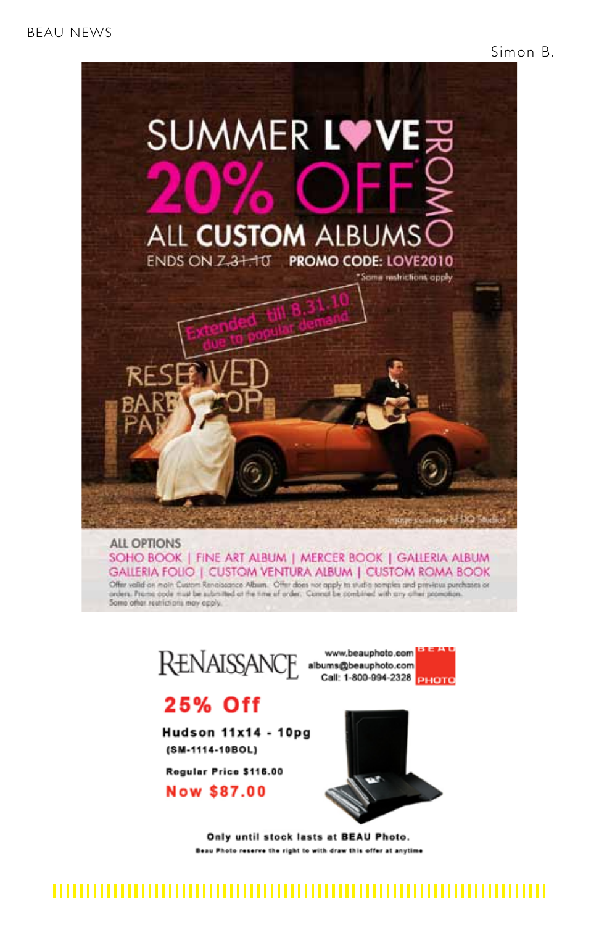

SOHO BOOK | FINE ART ALBUM | MERCER BOOK | GALLERIA ALBUM GALLERIA FOLIO | CUSTOM VENTURA ALBUM | CUSTOM ROMA BOOK Offer valid on main Custom Renaissance Album. Offer does not apply to studio somplex and previous parchases or<br>arders. Prome code must be submitted at the time of arder. Connot be combined with any offer promotion. Some other restrictions may apply.



8 E A U www.beauphoto.com Call: 1-800-994-2328 PHOTO

# **25% Off**

**Hudson 11x14 - 10pg** (SM-1114-10BOL)

Regular Price \$116.00

**Now \$87.00** 



Only until stock lasts at BEAU Photo. Beau Photo reserve the right to with draw this offer at anytime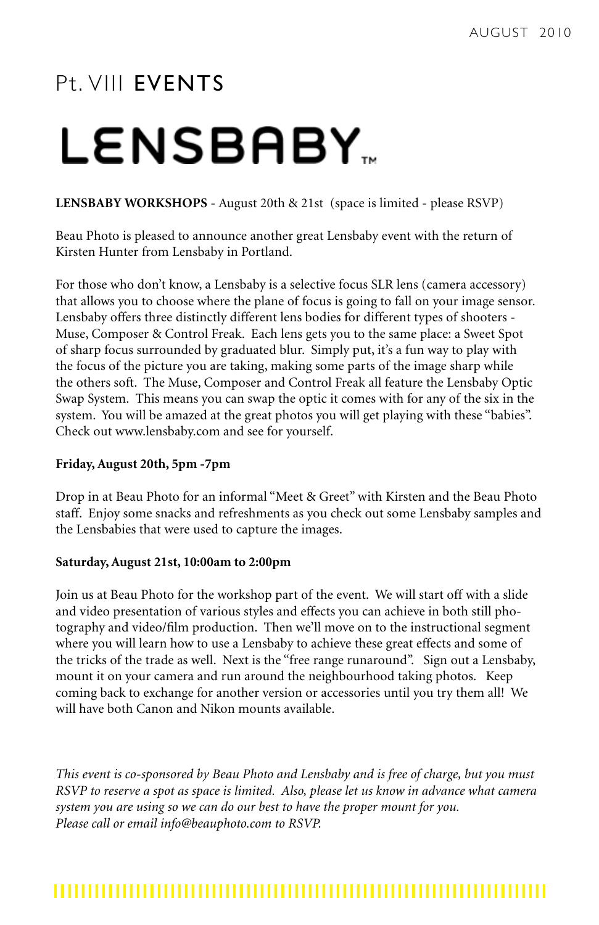# P<sub>t</sub> VIII **FVFNTS**

# **LENSBABY.**

#### **LENSBABY WORKSHOPS** - August 20th & 21st (space is limited - please RSVP)

Beau Photo is pleased to announce another great Lensbaby event with the return of Kirsten Hunter from Lensbaby in Portland.

For those who don't know, a Lensbaby is a selective focus SLR lens (camera accessory) that allows you to choose where the plane of focus is going to fall on your image sensor. Lensbaby offers three distinctly different lens bodies for different types of shooters - Muse, Composer & Control Freak. Each lens gets you to the same place: a Sweet Spot of sharp focus surrounded by graduated blur. Simply put, it's a fun way to play with the focus of the picture you are taking, making some parts of the image sharp while the others soft. The Muse, Composer and Control Freak all feature the Lensbaby Optic Swap System. This means you can swap the optic it comes with for any of the six in the system. You will be amazed at the great photos you will get playing with these "babies". Check out www.lensbaby.com and see for yourself.

#### **Friday, August 20th, 5pm -7pm**

Drop in at Beau Photo for an informal "Meet & Greet" with Kirsten and the Beau Photo staff. Enjoy some snacks and refreshments as you check out some Lensbaby samples and the Lensbabies that were used to capture the images.

#### **Saturday, August 21st, 10:00am to 2:00pm**

Join us at Beau Photo for the workshop part of the event. We will start off with a slide and video presentation of various styles and effects you can achieve in both still photography and video/film production. Then we'll move on to the instructional segment where you will learn how to use a Lensbaby to achieve these great effects and some of the tricks of the trade as well. Next is the "free range runaround". Sign out a Lensbaby, mount it on your camera and run around the neighbourhood taking photos. Keep coming back to exchange for another version or accessories until you try them all! We will have both Canon and Nikon mounts available.

*This event is co-sponsored by Beau Photo and Lensbaby and is free of charge, but you must RSVP to reserve a spot as space is limited. Also, please let us know in advance what camera system you are using so we can do our best to have the proper mount for you. Please call or email info@beauphoto.com to RSVP.*